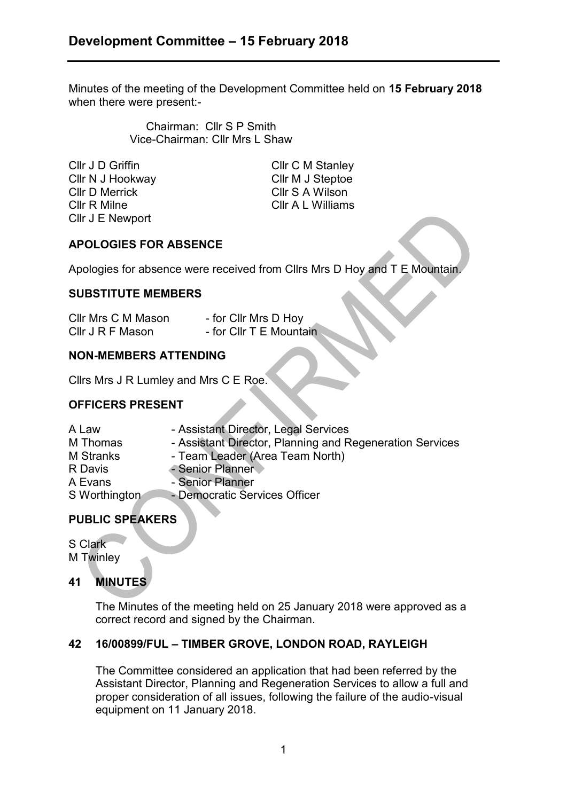Minutes of the meeting of the Development Committee held on **15 February 2018**  when there were present:-

> Chairman: Cllr S P Smith Vice-Chairman: Cllr Mrs L Shaw

Cllr J D Griffin Cllr C M Stanley Cllr N J Hookway Cllr M J Steptoe Cllr D Merrick Cllr S A Wilson Cllr R Milne Cllr A L Williams Cllr J E Newport

# **APOLOGIES FOR ABSENCE**

Apologies for absence were received from Cllrs Mrs D Hoy and T E Mountain.

### **SUBSTITUTE MEMBERS**

| Cllr Mrs C M Mason | - for Cllr Mrs D Hoy    |
|--------------------|-------------------------|
| Cllr J R F Mason   | - for Cllr T E Mountain |

## **NON-MEMBERS ATTENDING**

Cllrs Mrs J R Lumley and Mrs C E Roe.

## **OFFICERS PRESENT**

| A Law            | - Assistant Director, Legal Services                     |
|------------------|----------------------------------------------------------|
| M Thomas         | - Assistant Director, Planning and Regeneration Services |
| <b>M</b> Stranks | - Team Leader (Area Team North)                          |
| R Davis          | - Senior Planner                                         |
| A Evans          | - Senior Planner                                         |
| S Worthington    | - Democratic Services Officer                            |
|                  |                                                          |

# **PUBLIC SPEAKERS**

S Clark M Twinley

## **41 MINUTES**

The Minutes of the meeting held on 25 January 2018 were approved as a correct record and signed by the Chairman.

## **42 16/00899/FUL – TIMBER GROVE, LONDON ROAD, RAYLEIGH**

The Committee considered an application that had been referred by the Assistant Director, Planning and Regeneration Services to allow a full and proper consideration of all issues, following the failure of the audio-visual equipment on 11 January 2018.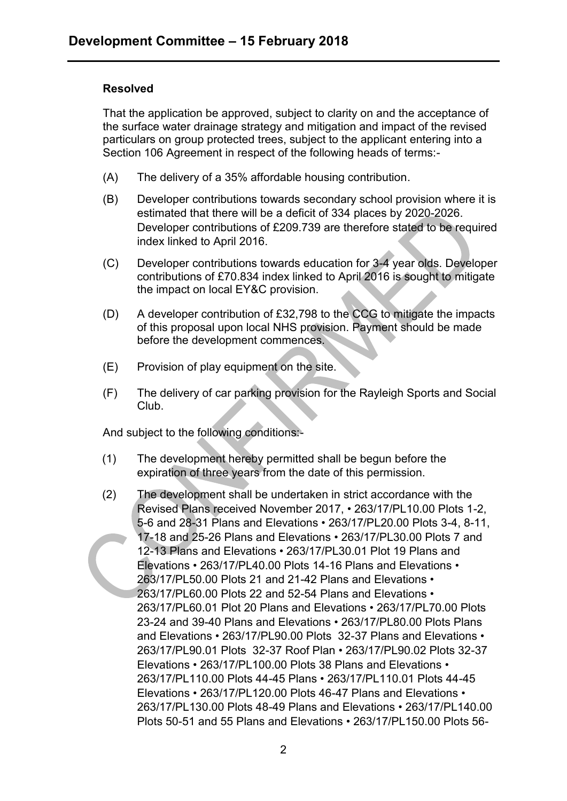### **Resolved**

That the application be approved, subject to clarity on and the acceptance of the surface water drainage strategy and mitigation and impact of the revised particulars on group protected trees, subject to the applicant entering into a Section 106 Agreement in respect of the following heads of terms:-

- (A) The delivery of a 35% affordable housing contribution.
- (B) Developer contributions towards secondary school provision where it is estimated that there will be a deficit of 334 places by 2020-2026. Developer contributions of £209.739 are therefore stated to be required index linked to April 2016.
- (C) Developer contributions towards education for 3-4 year olds. Developer contributions of £70.834 index linked to April 2016 is sought to mitigate the impact on local EY&C provision.
- (D) A developer contribution of £32,798 to the CCG to mitigate the impacts of this proposal upon local NHS provision. Payment should be made before the development commences.
- (E) Provision of play equipment on the site.
- (F) The delivery of car parking provision for the Rayleigh Sports and Social Club.

And subject to the following conditions:-

- (1) The development hereby permitted shall be begun before the expiration of three years from the date of this permission.
- (2) The development shall be undertaken in strict accordance with the Revised Plans received November 2017, • 263/17/PL10.00 Plots 1-2, 5-6 and 28-31 Plans and Elevations • 263/17/PL20.00 Plots 3-4, 8-11, 17-18 and 25-26 Plans and Elevations • 263/17/PL30.00 Plots 7 and 12-13 Plans and Elevations • 263/17/PL30.01 Plot 19 Plans and Elevations • 263/17/PL40.00 Plots 14-16 Plans and Elevations • 263/17/PL50.00 Plots 21 and 21-42 Plans and Elevations • 263/17/PL60.00 Plots 22 and 52-54 Plans and Elevations • 263/17/PL60.01 Plot 20 Plans and Elevations • 263/17/PL70.00 Plots 23-24 and 39-40 Plans and Elevations • 263/17/PL80.00 Plots Plans and Elevations • 263/17/PL90.00 Plots 32-37 Plans and Elevations • 263/17/PL90.01 Plots 32-37 Roof Plan • 263/17/PL90.02 Plots 32-37 Elevations • 263/17/PL100.00 Plots 38 Plans and Elevations • 263/17/PL110.00 Plots 44-45 Plans • 263/17/PL110.01 Plots 44-45 Elevations • 263/17/PL120.00 Plots 46-47 Plans and Elevations • 263/17/PL130.00 Plots 48-49 Plans and Elevations • 263/17/PL140.00 Plots 50-51 and 55 Plans and Elevations • 263/17/PL150.00 Plots 56-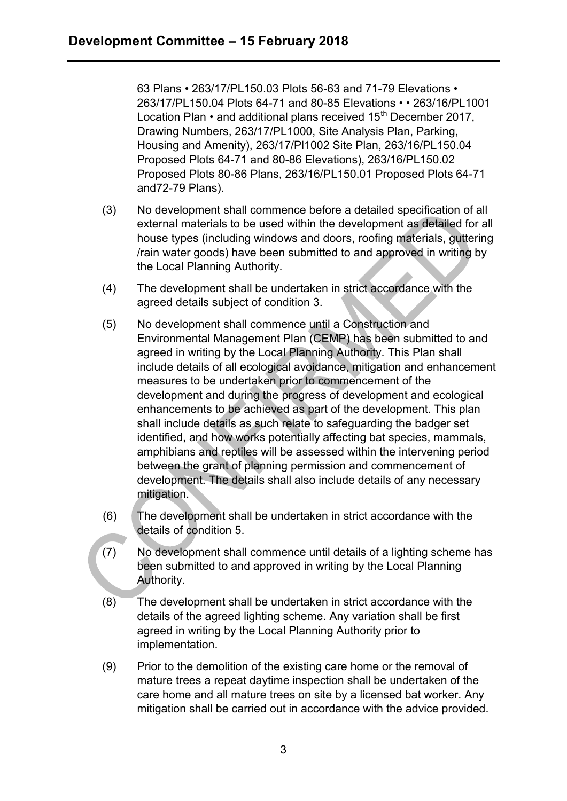63 Plans • 263/17/PL150.03 Plots 56-63 and 71-79 Elevations • 263/17/PL150.04 Plots 64-71 and 80-85 Elevations • • 263/16/PL1001 Location Plan  $\cdot$  and additional plans received 15<sup>th</sup> December 2017, Drawing Numbers, 263/17/PL1000, Site Analysis Plan, Parking, Housing and Amenity), 263/17/Pl1002 Site Plan, 263/16/PL150.04 Proposed Plots 64-71 and 80-86 Elevations), 263/16/PL150.02 Proposed Plots 80-86 Plans, 263/16/PL150.01 Proposed Plots 64-71 and72-79 Plans).

- (3) No development shall commence before a detailed specification of all external materials to be used within the development as detailed for all house types (including windows and doors, roofing materials, guttering /rain water goods) have been submitted to and approved in writing by the Local Planning Authority.
- (4) The development shall be undertaken in strict accordance with the agreed details subject of condition 3.
- (5) No development shall commence until a Construction and Environmental Management Plan (CEMP) has been submitted to and agreed in writing by the Local Planning Authority. This Plan shall include details of all ecological avoidance, mitigation and enhancement measures to be undertaken prior to commencement of the development and during the progress of development and ecological enhancements to be achieved as part of the development. This plan shall include details as such relate to safeguarding the badger set identified, and how works potentially affecting bat species, mammals, amphibians and reptiles will be assessed within the intervening period between the grant of planning permission and commencement of development. The details shall also include details of any necessary mitigation.
- (6) The development shall be undertaken in strict accordance with the details of condition 5.
- (7) No development shall commence until details of a lighting scheme has been submitted to and approved in writing by the Local Planning Authority.
- (8) The development shall be undertaken in strict accordance with the details of the agreed lighting scheme. Any variation shall be first agreed in writing by the Local Planning Authority prior to implementation.
- (9) Prior to the demolition of the existing care home or the removal of mature trees a repeat daytime inspection shall be undertaken of the care home and all mature trees on site by a licensed bat worker. Any mitigation shall be carried out in accordance with the advice provided.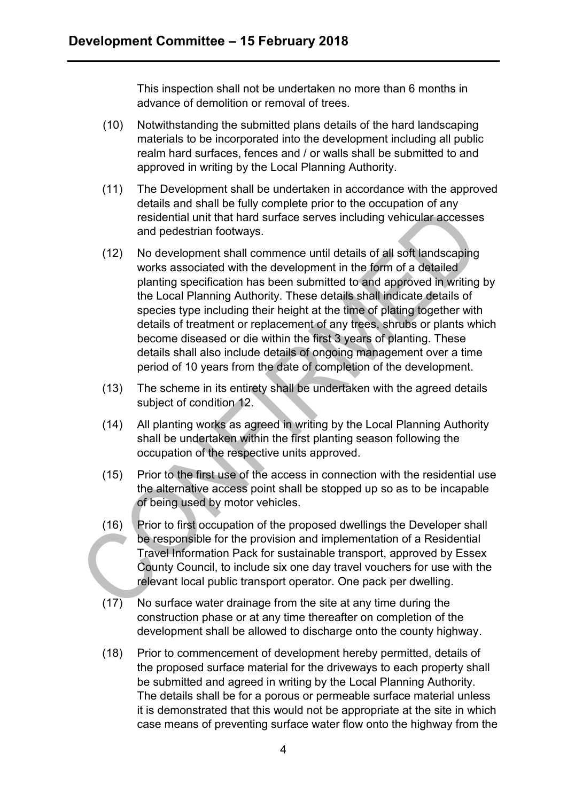This inspection shall not be undertaken no more than 6 months in advance of demolition or removal of trees.

- (10) Notwithstanding the submitted plans details of the hard landscaping materials to be incorporated into the development including all public realm hard surfaces, fences and / or walls shall be submitted to and approved in writing by the Local Planning Authority.
- (11) The Development shall be undertaken in accordance with the approved details and shall be fully complete prior to the occupation of any residential unit that hard surface serves including vehicular accesses and pedestrian footways.
- (12) No development shall commence until details of all soft landscaping works associated with the development in the form of a detailed planting specification has been submitted to and approved in writing by the Local Planning Authority. These details shall indicate details of species type including their height at the time of plating together with details of treatment or replacement of any trees, shrubs or plants which become diseased or die within the first 3 years of planting. These details shall also include details of ongoing management over a time period of 10 years from the date of completion of the development.
- (13) The scheme in its entirety shall be undertaken with the agreed details subject of condition 12.
- (14) All planting works as agreed in writing by the Local Planning Authority shall be undertaken within the first planting season following the occupation of the respective units approved.
- (15) Prior to the first use of the access in connection with the residential use the alternative access point shall be stopped up so as to be incapable of being used by motor vehicles.
- (16) Prior to first occupation of the proposed dwellings the Developer shall be responsible for the provision and implementation of a Residential Travel Information Pack for sustainable transport, approved by Essex County Council, to include six one day travel vouchers for use with the relevant local public transport operator. One pack per dwelling.
- (17) No surface water drainage from the site at any time during the construction phase or at any time thereafter on completion of the development shall be allowed to discharge onto the county highway.
- (18) Prior to commencement of development hereby permitted, details of the proposed surface material for the driveways to each property shall be submitted and agreed in writing by the Local Planning Authority. The details shall be for a porous or permeable surface material unless it is demonstrated that this would not be appropriate at the site in which case means of preventing surface water flow onto the highway from the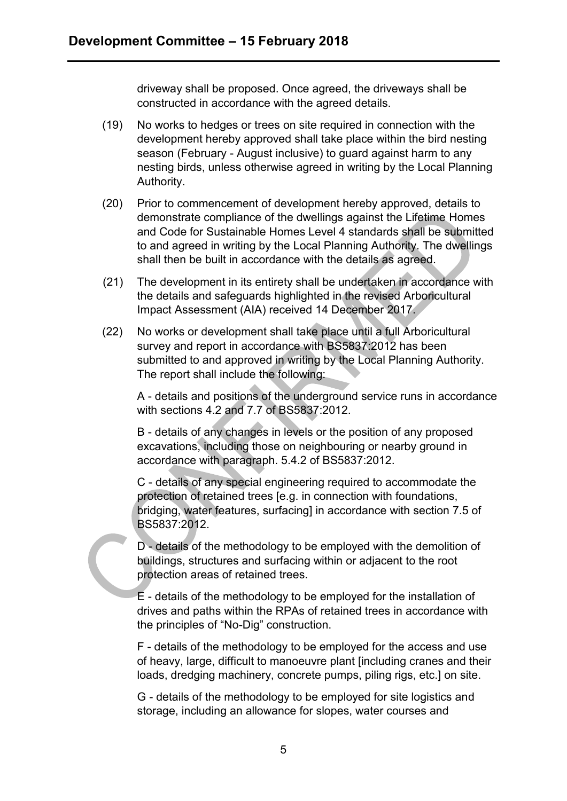driveway shall be proposed. Once agreed, the driveways shall be constructed in accordance with the agreed details.

- (19) No works to hedges or trees on site required in connection with the development hereby approved shall take place within the bird nesting season (February - August inclusive) to guard against harm to any nesting birds, unless otherwise agreed in writing by the Local Planning Authority.
- (20) Prior to commencement of development hereby approved, details to demonstrate compliance of the dwellings against the Lifetime Homes and Code for Sustainable Homes Level 4 standards shall be submitted to and agreed in writing by the Local Planning Authority. The dwellings shall then be built in accordance with the details as agreed.
- (21) The development in its entirety shall be undertaken in accordance with the details and safeguards highlighted in the revised Arboricultural Impact Assessment (AIA) received 14 December 2017.
- (22) No works or development shall take place until a full Arboricultural survey and report in accordance with BS5837:2012 has been submitted to and approved in writing by the Local Planning Authority. The report shall include the following:

A - details and positions of the underground service runs in accordance with sections 4.2 and 7.7 of BS5837:2012.

B - details of any changes in levels or the position of any proposed excavations, including those on neighbouring or nearby ground in accordance with paragraph. 5.4.2 of BS5837:2012.

C - details of any special engineering required to accommodate the protection of retained trees [e.g. in connection with foundations, bridging, water features, surfacing] in accordance with section 7.5 of BS5837:2012.

D - details of the methodology to be employed with the demolition of buildings, structures and surfacing within or adjacent to the root protection areas of retained trees.

E - details of the methodology to be employed for the installation of drives and paths within the RPAs of retained trees in accordance with the principles of "No-Dig" construction.

F - details of the methodology to be employed for the access and use of heavy, large, difficult to manoeuvre plant [including cranes and their loads, dredging machinery, concrete pumps, piling rigs, etc.] on site.

G - details of the methodology to be employed for site logistics and storage, including an allowance for slopes, water courses and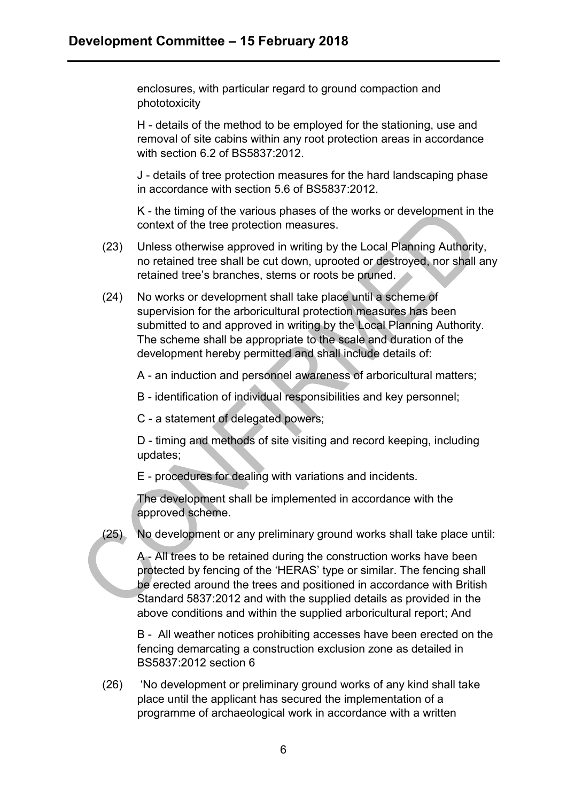enclosures, with particular regard to ground compaction and phototoxicity

H - details of the method to be employed for the stationing, use and removal of site cabins within any root protection areas in accordance with section 6.2 of BS5837:2012.

J - details of tree protection measures for the hard landscaping phase in accordance with section 5.6 of BS5837:2012.

K - the timing of the various phases of the works or development in the context of the tree protection measures.

- (23) Unless otherwise approved in writing by the Local Planning Authority, no retained tree shall be cut down, uprooted or destroyed, nor shall any retained tree's branches, stems or roots be pruned.
- (24) No works or development shall take place until a scheme of supervision for the arboricultural protection measures has been submitted to and approved in writing by the Local Planning Authority. The scheme shall be appropriate to the scale and duration of the development hereby permitted and shall include details of:

A - an induction and personnel awareness of arboricultural matters;

B - identification of individual responsibilities and key personnel;

C - a statement of delegated powers;

D - timing and methods of site visiting and record keeping, including updates;

E - procedures for dealing with variations and incidents.

The development shall be implemented in accordance with the approved scheme.

(25) No development or any preliminary ground works shall take place until:

A - All trees to be retained during the construction works have been protected by fencing of the 'HERAS' type or similar. The fencing shall be erected around the trees and positioned in accordance with British Standard 5837:2012 and with the supplied details as provided in the above conditions and within the supplied arboricultural report; And

B - All weather notices prohibiting accesses have been erected on the fencing demarcating a construction exclusion zone as detailed in BS5837:2012 section 6

(26) 'No development or preliminary ground works of any kind shall take place until the applicant has secured the implementation of a programme of archaeological work in accordance with a written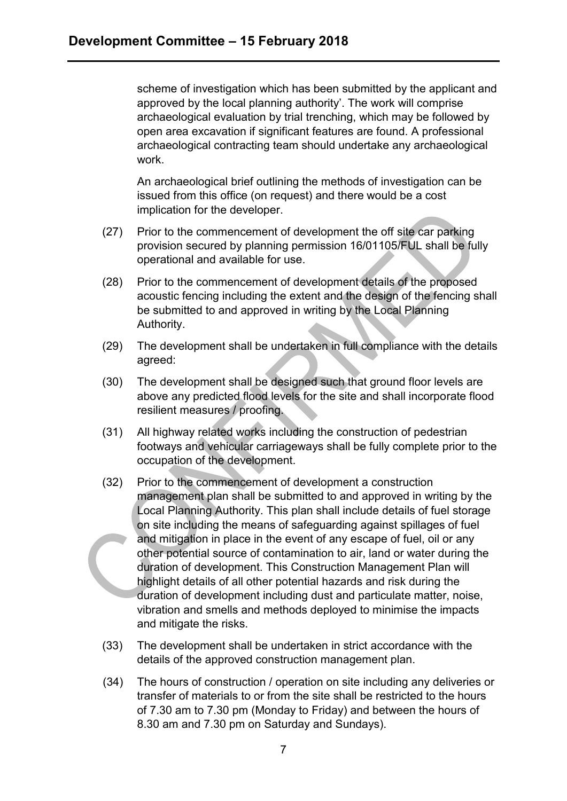scheme of investigation which has been submitted by the applicant and approved by the local planning authority'. The work will comprise archaeological evaluation by trial trenching, which may be followed by open area excavation if significant features are found. A professional archaeological contracting team should undertake any archaeological work.

An archaeological brief outlining the methods of investigation can be issued from this office (on request) and there would be a cost implication for the developer.

- (27) Prior to the commencement of development the off site car parking provision secured by planning permission 16/01105/FUL shall be fully operational and available for use.
- (28) Prior to the commencement of development details of the proposed acoustic fencing including the extent and the design of the fencing shall be submitted to and approved in writing by the Local Planning Authority.
- (29) The development shall be undertaken in full compliance with the details agreed:
- (30) The development shall be designed such that ground floor levels are above any predicted flood levels for the site and shall incorporate flood resilient measures / proofing.
- (31) All highway related works including the construction of pedestrian footways and vehicular carriageways shall be fully complete prior to the occupation of the development.
- (32) Prior to the commencement of development a construction management plan shall be submitted to and approved in writing by the Local Planning Authority. This plan shall include details of fuel storage on site including the means of safeguarding against spillages of fuel and mitigation in place in the event of any escape of fuel, oil or any other potential source of contamination to air, land or water during the duration of development. This Construction Management Plan will highlight details of all other potential hazards and risk during the duration of development including dust and particulate matter, noise, vibration and smells and methods deployed to minimise the impacts and mitigate the risks.
- (33) The development shall be undertaken in strict accordance with the details of the approved construction management plan.
- (34) The hours of construction / operation on site including any deliveries or transfer of materials to or from the site shall be restricted to the hours of 7.30 am to 7.30 pm (Monday to Friday) and between the hours of 8.30 am and 7.30 pm on Saturday and Sundays).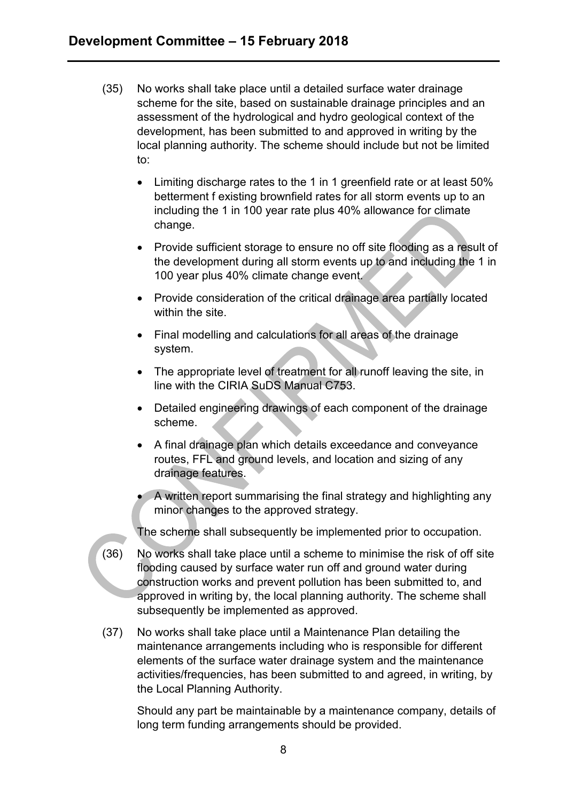- (35) No works shall take place until a detailed surface water drainage scheme for the site, based on sustainable drainage principles and an assessment of the hydrological and hydro geological context of the development, has been submitted to and approved in writing by the local planning authority. The scheme should include but not be limited to:
	- Limiting discharge rates to the 1 in 1 greenfield rate or at least 50% betterment f existing brownfield rates for all storm events up to an including the 1 in 100 year rate plus 40% allowance for climate change.
	- Provide sufficient storage to ensure no off site flooding as a result of the development during all storm events up to and including the 1 in 100 year plus 40% climate change event.
	- Provide consideration of the critical drainage area partially located within the site.
	- Final modelling and calculations for all areas of the drainage system.
	- The appropriate level of treatment for all runoff leaving the site, in line with the CIRIA SuDS Manual C753.
	- Detailed engineering drawings of each component of the drainage scheme.
	- A final drainage plan which details exceedance and conveyance routes, FFL and ground levels, and location and sizing of any drainage features.
	- A written report summarising the final strategy and highlighting any minor changes to the approved strategy.

The scheme shall subsequently be implemented prior to occupation.

- (36) No works shall take place until a scheme to minimise the risk of off site flooding caused by surface water run off and ground water during construction works and prevent pollution has been submitted to, and approved in writing by, the local planning authority. The scheme shall subsequently be implemented as approved.
- (37) No works shall take place until a Maintenance Plan detailing the maintenance arrangements including who is responsible for different elements of the surface water drainage system and the maintenance activities/frequencies, has been submitted to and agreed, in writing, by the Local Planning Authority.

Should any part be maintainable by a maintenance company, details of long term funding arrangements should be provided.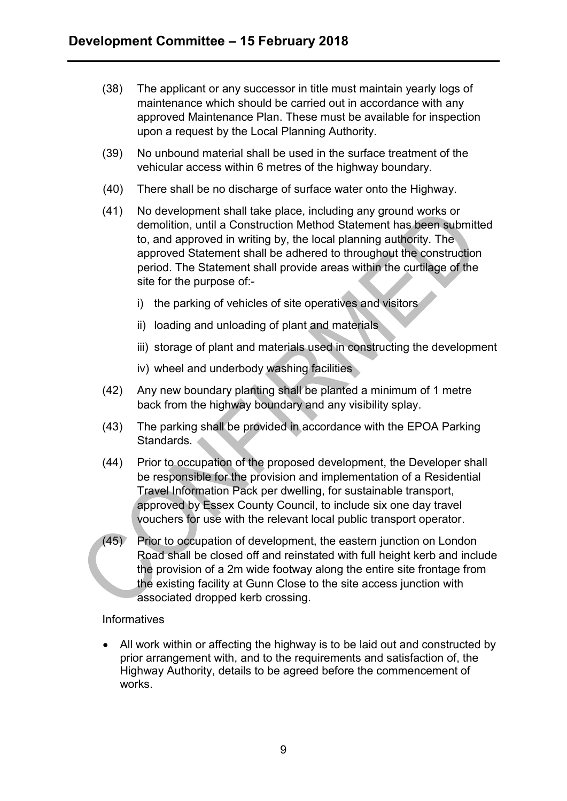- (38) The applicant or any successor in title must maintain yearly logs of maintenance which should be carried out in accordance with any approved Maintenance Plan. These must be available for inspection upon a request by the Local Planning Authority.
- (39) No unbound material shall be used in the surface treatment of the vehicular access within 6 metres of the highway boundary.
- (40) There shall be no discharge of surface water onto the Highway.
- (41) No development shall take place, including any ground works or demolition, until a Construction Method Statement has been submitted to, and approved in writing by, the local planning authority. The approved Statement shall be adhered to throughout the construction period. The Statement shall provide areas within the curtilage of the site for the purpose of:
	- i) the parking of vehicles of site operatives and visitors
	- ii) loading and unloading of plant and materials
	- iii) storage of plant and materials used in constructing the development
	- iv) wheel and underbody washing facilities
- (42) Any new boundary planting shall be planted a minimum of 1 metre back from the highway boundary and any visibility splay.
- (43) The parking shall be provided in accordance with the EPOA Parking Standards.
- (44) Prior to occupation of the proposed development, the Developer shall be responsible for the provision and implementation of a Residential Travel Information Pack per dwelling, for sustainable transport, approved by Essex County Council, to include six one day travel vouchers for use with the relevant local public transport operator.
- (45) Prior to occupation of development, the eastern junction on London Road shall be closed off and reinstated with full height kerb and include the provision of a 2m wide footway along the entire site frontage from the existing facility at Gunn Close to the site access junction with associated dropped kerb crossing.

#### **Informatives**

 All work within or affecting the highway is to be laid out and constructed by prior arrangement with, and to the requirements and satisfaction of, the Highway Authority, details to be agreed before the commencement of works.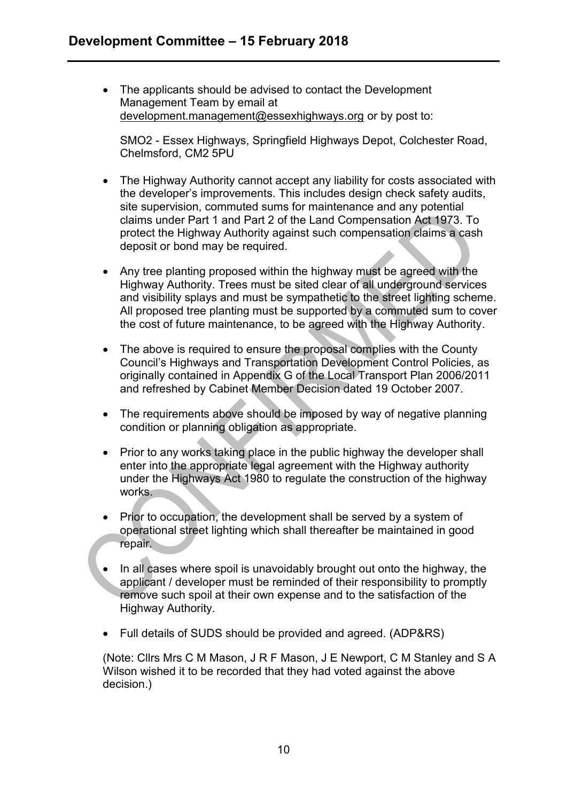The applicants should be advised to contact the Development Management Team by email at [development.management@essexhighways.org](mailto:development.management@essexhighways.org) or by post to:

SMO2 - Essex Highways, Springfield Highways Depot, Colchester Road, Chelmsford, CM2 5PU

- The Highway Authority cannot accept any liability for costs associated with the developer's improvements. This includes design check safety audits, site supervision, commuted sums for maintenance and any potential claims under Part 1 and Part 2 of the Land Compensation Act 1973. To protect the Highway Authority against such compensation claims a cash deposit or bond may be required.
- Any tree planting proposed within the highway must be agreed with the Highway Authority. Trees must be sited clear of all underground services and visibility splays and must be sympathetic to the street lighting scheme. All proposed tree planting must be supported by a commuted sum to cover the cost of future maintenance, to be agreed with the Highway Authority.
- The above is required to ensure the proposal complies with the County Council's Highways and Transportation Development Control Policies, as originally contained in Appendix G of the Local Transport Plan 2006/2011 and refreshed by Cabinet Member Decision dated 19 October 2007.
- The requirements above should be imposed by way of negative planning condition or planning obligation as appropriate.
- Prior to any works taking place in the public highway the developer shall enter into the appropriate legal agreement with the Highway authority under the Highways Act 1980 to regulate the construction of the highway works.
- Prior to occupation, the development shall be served by a system of operational street lighting which shall thereafter be maintained in good repair.
- In all cases where spoil is unavoidably brought out onto the highway, the applicant / developer must be reminded of their responsibility to promptly remove such spoil at their own expense and to the satisfaction of the Highway Authority.
- Full details of SUDS should be provided and agreed. (ADP&RS)

(Note: Cllrs Mrs C M Mason, J R F Mason, J E Newport, C M Stanley and S A Wilson wished it to be recorded that they had voted against the above decision.)